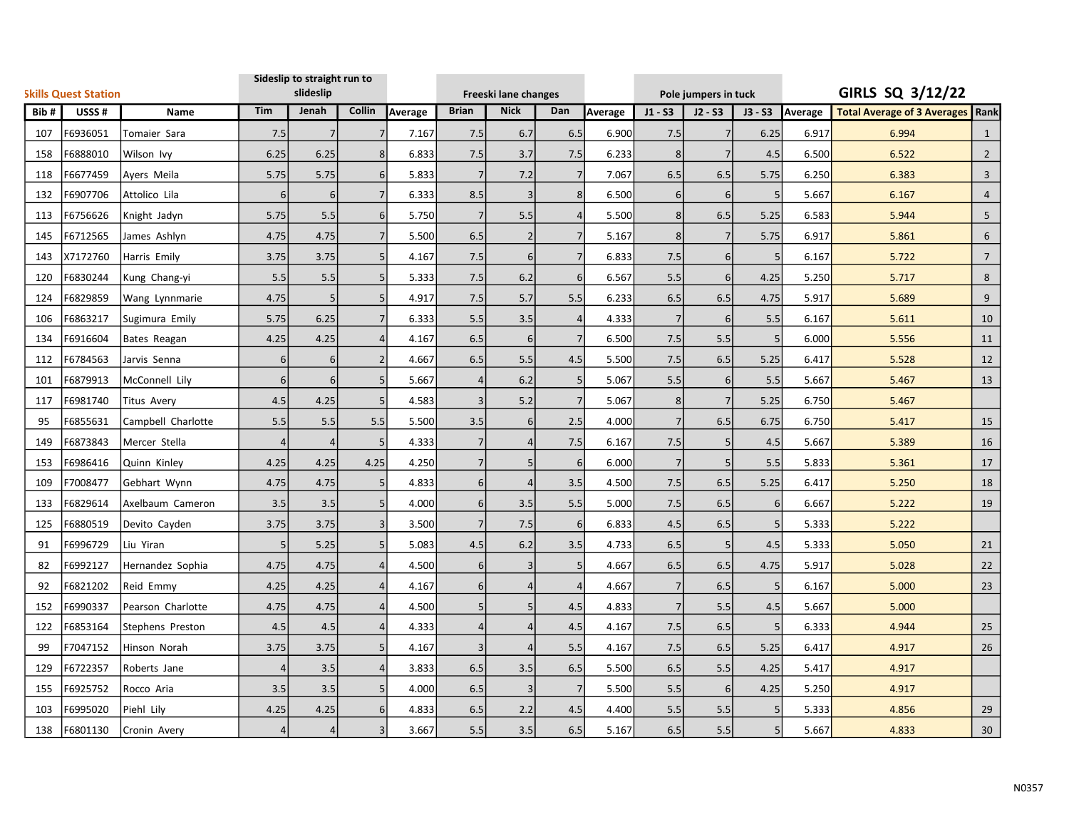| <b>Skills Quest Station</b> |          |                    | Sideslip to straight run to<br>slideslip |                |                |         | Freeski lane changes |                |                  |         |                | Pole jumpers in tuck |           | GIRLS SQ 3/12/22 |                                    |                 |  |
|-----------------------------|----------|--------------------|------------------------------------------|----------------|----------------|---------|----------------------|----------------|------------------|---------|----------------|----------------------|-----------|------------------|------------------------------------|-----------------|--|
| Bib#<br>USSS#<br>Name       |          |                    | Tim                                      | Jenah          | Collin         | Average | <b>Brian</b>         | <b>Nick</b>    | Dan              | Average | $J1 - S3$      | $J2 - S3$            | $J3 - S3$ | Average          | Total Average of 3 Averages   Rank |                 |  |
| 107                         | F6936051 | Tomaier Sara       | 7.5                                      | $\overline{7}$ | $\overline{7}$ | 7.167   | 7.5                  | 6.7            | 6.5              | 6.900   | 7.5            |                      | 6.25      | 6.917            | 6.994                              | $\mathbf{1}$    |  |
| 158                         | F6888010 | Wilson Ivy         | 6.25                                     | 6.25           | 8              | 6.833   | 7.5                  | 3.7            | 7.5              | 6.233   | $\bf 8$        |                      | 4.5       | 6.500            | 6.522                              | $2^{\circ}$     |  |
| 118                         | F6677459 | Ayers Meila        | 5.75                                     | 5.75           | 6 <sup>1</sup> | 5.833   | 7                    | 7.2            | $\overline{7}$   | 7.067   | 6.5            | 6.5                  | 5.75      | 6.250            | 6.383                              | $\mathbf{3}$    |  |
| 132                         | F6907706 | Attolico Lila      | $6 \mid$                                 | 6              | 7              | 6.333   | 8.5                  | $\overline{3}$ | 8                | 6.500   | 6              | $6 \mid$             | 5         | 5.667            | 6.167                              | $\overline{4}$  |  |
| 113                         | F6756626 | Knight Jadyn       | 5.75                                     | 5.5            | $6 \mid$       | 5.750   | $\overline{7}$       | 5.5            | $\overline{4}$   | 5.500   | 8 <sup>1</sup> | 6.5                  | 5.25      | 6.583            | 5.944                              | 5               |  |
| 145                         | F6712565 | James Ashlyn       | 4.75                                     | 4.75           | $\overline{7}$ | 5.500   | 6.5                  | 2              | $\overline{7}$   | 5.167   | 8              | 7                    | 5.75      | 6.917            | 5.861                              | 6               |  |
| 143                         | X7172760 | Harris Emily       | 3.75                                     | 3.75           | 5 <sup>1</sup> | 4.167   | 7.5                  | 6 <sup>1</sup> | $\overline{7}$   | 6.833   | 7.5            | 6 <sup>1</sup>       | 5         | 6.167            | 5.722                              | $7\overline{ }$ |  |
| 120                         | F6830244 | Kung Chang-yi      | 5.5                                      | 5.5            | 5 <sup>1</sup> | 5.333   | 7.5                  | 6.2            | 6                | 6.567   | 5.5            | $6 \mid$             | 4.25      | 5.250            | 5.717                              | 8               |  |
| 124                         | F6829859 | Wang Lynnmarie     | 4.75                                     | 5              | 5 <sup>1</sup> | 4.917   | 7.5                  | 5.7            | 5.5              | 6.233   | 6.5            | 6.5                  | 4.75      | 5.917            | 5.689                              | 9               |  |
| 106                         | F6863217 | Sugimura Emily     | 5.75                                     | 6.25           | 7              | 6.333   | 5.5                  | 3.5            | $\overline{4}$   | 4.333   | $\overline{7}$ | $6 \mid$             | 5.5       | 6.167            | 5.611                              | 10              |  |
| 134                         | F6916604 | Bates Reagan       | 4.25                                     | 4.25           | $\overline{4}$ | 4.167   | 6.5                  | 6              | 7                | 6.500   | 7.5            | 5.5                  | 5         | 6.000            | 5.556                              | 11              |  |
| 112                         | F6784563 | Jarvis Senna       | $6 \mid$                                 | 6              | $\overline{2}$ | 4.667   | 6.5                  | 5.5            | 4.5              | 5.500   | 7.5            | 6.5                  | 5.25      | 6.417            | 5.528                              | 12              |  |
| 101                         | F6879913 | McConnell Lily     | 6 <sup>1</sup>                           | 6              | 5 <sup>1</sup> | 5.667   | $\overline{4}$       | 6.2            | 5                | 5.067   | 5.5            | $6 \mid$             | 5.5       | 5.667            | 5.467                              | 13              |  |
| 117                         | F6981740 | <b>Titus Avery</b> | 4.5                                      | 4.25           | 5              | 4.583   | 3                    | 5.2            | $\overline{7}$   | 5.067   | 8              |                      | 5.25      | 6.750            | 5.467                              |                 |  |
| 95                          | F6855631 | Campbell Charlotte | 5.5                                      | 5.5            | 5.5            | 5.500   | 3.5                  | 6 <sup>1</sup> | 2.5              | 4.000   | $\overline{7}$ | 6.5                  | 6.75      | 6.750            | 5.417                              | 15              |  |
| 149                         | F6873843 | Mercer Stella      | $\overline{4}$                           | $\overline{4}$ | 5 <sup>1</sup> | 4.333   | 7                    | 4              | 7.5              | 6.167   | 7.5            | 5                    | 4.5       | 5.667            | 5.389                              | 16              |  |
| 153                         | F6986416 | Quinn Kinley       | 4.25                                     | 4.25           | 4.25           | 4.250   | $\overline{7}$       | 5              | 6                | 6.000   | $\overline{7}$ |                      | 5.5       | 5.833            | 5.361                              | 17              |  |
| 109                         | F7008477 | Gebhart Wynn       | 4.75                                     | 4.75           | 5 <sup>1</sup> | 4.833   | $6\vert$             | $\Delta$       | 3.5              | 4.500   | 7.5            | 6.5                  | 5.25      | 6.417            | 5.250                              | 18              |  |
| 133                         | F6829614 | Axelbaum Cameron   | 3.5                                      | 3.5            | 5 <sup>1</sup> | 4.000   | $6 \mid$             | 3.5            | 5.5              | 5.000   | 7.5            | 6.5                  | 6         | 6.667            | 5.222                              | 19              |  |
| 125                         | F6880519 | Devito Cayden      | 3.75                                     | 3.75           | $\overline{3}$ | 3.500   | $\overline{7}$       | 7.5            | $6 \overline{6}$ | 6.833   | 4.5            | 6.5                  | 5         | 5.333            | 5.222                              |                 |  |
| 91                          | F6996729 | Liu Yiran          | 5 <sup>1</sup>                           | 5.25           | 5              | 5.083   | 4.5                  | 6.2            | 3.5              | 4.733   | 6.5            | 5                    | 4.5       | 5.333            | 5.050                              | 21              |  |
| 82                          | F6992127 | Hernandez Sophia   | 4.75                                     | 4.75           | $\vert$        | 4.500   | $6 \mid$             | 3              | 5 <sub>5</sub>   | 4.667   | 6.5            | 6.5                  | 4.75      | 5.917            | 5.028                              | 22              |  |
| 92                          | F6821202 | Reid Emmy          | 4.25                                     | 4.25           | 4              | 4.167   | $6 \mid$             | $\overline{4}$ | $\overline{4}$   | 4.667   | $\overline{7}$ | 6.5                  | 5         | 6.167            | 5.000                              | 23              |  |
| 152                         | F6990337 | Pearson Charlotte  | 4.75                                     | 4.75           | $\overline{a}$ | 4.500   | 5 <sup>1</sup>       | 5              | 4.5              | 4.833   | $\overline{7}$ | 5.5                  | 4.5       | 5.667            | 5.000                              |                 |  |
| 122                         | F6853164 | Stephens Preston   | 4.5                                      | 4.5            | $\overline{4}$ | 4.333   | 4                    |                | 4.5              | 4.167   | 7.5            | 6.5                  | 5         | 6.333            | 4.944                              | 25              |  |
| 99                          | F7047152 | Hinson Norah       | 3.75                                     | 3.75           | 5 <sup>1</sup> | 4.167   | 3                    | $\Delta$       | 5.5              | 4.167   | 7.5            | 6.5                  | 5.25      | 6.417            | 4.917                              | 26              |  |
| 129                         | F6722357 | Roberts Jane       | $\overline{4}$                           | 3.5            | $\overline{4}$ | 3.833   | 6.5                  | 3.5            | 6.5              | 5.500   | 6.5            | 5.5                  | 4.25      | 5.417            | 4.917                              |                 |  |
| 155                         | F6925752 | Rocco Aria         | 3.5                                      | 3.5            | 5 <sup>1</sup> | 4.000   | 6.5                  | $\overline{3}$ | 7                | 5.500   | 5.5            | 6 <sup>1</sup>       | 4.25      | 5.250            | 4.917                              |                 |  |
| 103                         | F6995020 | Piehl Lily         | 4.25                                     | 4.25           | $6 \mid$       | 4.833   | 6.5                  | 2.2            | 4.5              | 4.400   | 5.5            | 5.5                  | 5         | 5.333            | 4.856                              | 29              |  |
| 138                         | F6801130 | Cronin Avery       | $\overline{4}$                           | $\overline{4}$ | 3 <sup>1</sup> | 3.667   | 5.5                  | 3.5            | 6.5              | 5.167   | 6.5            | 5.5                  | 5         | 5.667            | 4.833                              | 30              |  |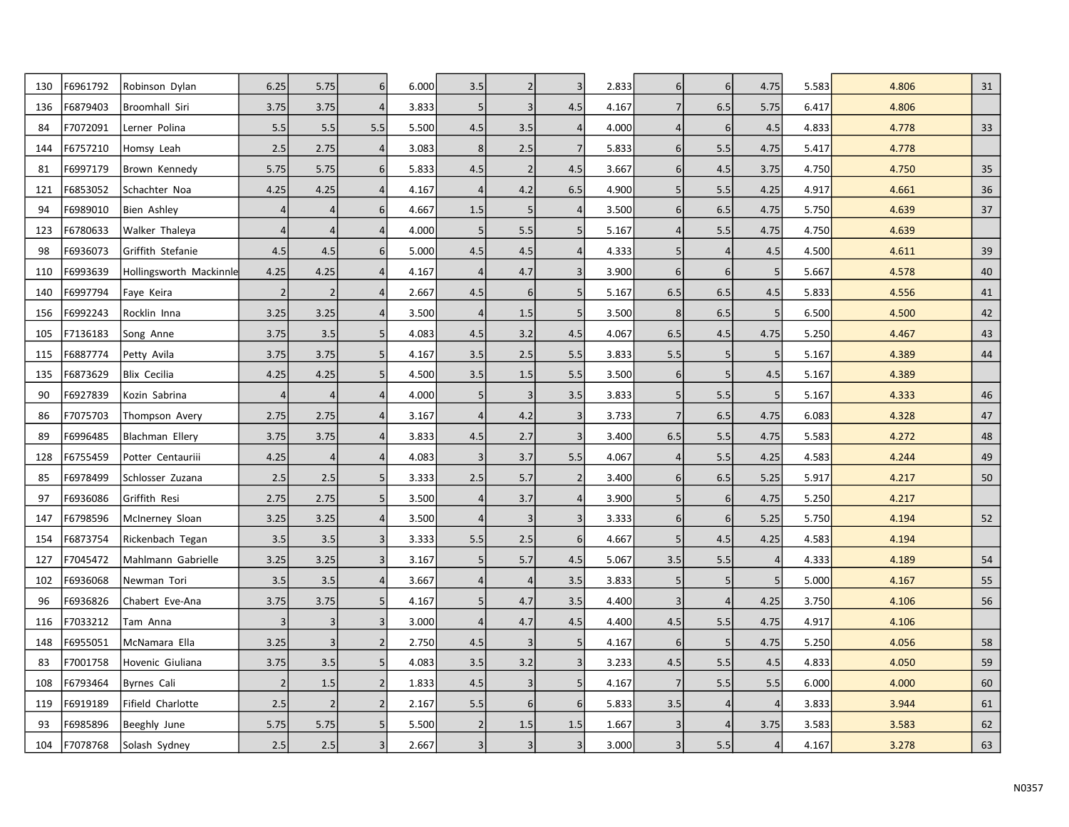| 130 | F6961792 | Robinson Dylan          | 6.25           | 5.75           | $6 \mid$       | 6.000 | 3.5            | $\overline{2}$ | $\overline{3}$ | 2.833 | $6 \overline{6}$ | $6 \mid$         | 4.75           | 5.583 | 4.806 | 31 |
|-----|----------|-------------------------|----------------|----------------|----------------|-------|----------------|----------------|----------------|-------|------------------|------------------|----------------|-------|-------|----|
| 136 | F6879403 | Broomhall Siri          | 3.75           | 3.75           | $\overline{4}$ | 3.833 | 5              | $\overline{3}$ | 4.5            | 4.167 | $\overline{7}$   | 6.5              | 5.75           | 6.417 | 4.806 |    |
| 84  | F7072091 | Lerner Polina           | 5.5            | 5.5            | 5.5            | 5.500 | 4.5            | 3.5            | 4              | 4.000 | $\overline{4}$   | $6 \overline{6}$ | 4.5            | 4.833 | 4.778 | 33 |
| 144 | F6757210 | Homsy Leah              | 2.5            | 2.75           | $\overline{4}$ | 3.083 | 8 <sup>1</sup> | 2.5            | $\overline{7}$ | 5.833 | $6 \overline{6}$ | 5.5              | 4.75           | 5.417 | 4.778 |    |
| 81  | F6997179 | Brown Kennedy           | 5.75           | 5.75           | 6 <sup>1</sup> | 5.833 | 4.5            | $\overline{2}$ | 4.5            | 3.667 | $6 \overline{6}$ | 4.5              | 3.75           | 4.750 | 4.750 | 35 |
| 121 | F6853052 | Schachter Noa           | 4.25           | 4.25           | $\Delta$       | 4.167 | $\overline{4}$ | 4.2            | 6.5            | 4.900 | 5                | 5.5              | 4.25           | 4.917 | 4.661 | 36 |
| 94  | F6989010 | <b>Bien Ashley</b>      | $\overline{4}$ | 4              | 6              | 4.667 | 1.5            | 5              | 4              | 3.500 | $6 \overline{6}$ | 6.5              | 4.75           | 5.750 | 4.639 | 37 |
| 123 | F6780633 | Walker Thaleya          | $\overline{4}$ | $\overline{4}$ |                | 4.000 | 5              | 5.5            | 5              | 5.167 | $\overline{4}$   | 5.5              | 4.75           | 4.750 | 4.639 |    |
| 98  | F6936073 | Griffith Stefanie       | 4.5            | 4.5            | 6              | 5.000 | 4.5            | 4.5            | $\overline{4}$ | 4.333 | 5                | $\vert$          | 4.5            | 4.500 | 4.611 | 39 |
| 110 | F6993639 | Hollingsworth Mackinnle | 4.25           | 4.25           |                | 4.167 | $\overline{4}$ | 4.7            | $\overline{3}$ | 3.900 | 6 <sup>1</sup>   | $6 \overline{6}$ | 5              | 5.667 | 4.578 | 40 |
| 140 | F6997794 | Faye Keira              | $\overline{2}$ | $\overline{2}$ | $\overline{4}$ | 2.667 | 4.5            | 6              | 5              | 5.167 | 6.5              | 6.5              | 4.5            | 5.833 | 4.556 | 41 |
| 156 | F6992243 | Rocklin Inna            | 3.25           | 3.25           |                | 3.500 | $\overline{4}$ | 1.5            | 5              | 3.500 | 8                | 6.5              | 5              | 6.500 | 4.500 | 42 |
| 105 | F7136183 | Song Anne               | 3.75           | 3.5            | 5              | 4.083 | 4.5            | 3.2            | 4.5            | 4.067 | 6.5              | 4.5              | 4.75           | 5.250 | 4.467 | 43 |
| 115 | F6887774 | Petty Avila             | 3.75           | 3.75           | 5              | 4.167 | 3.5            | 2.5            | 5.5            | 3.833 | 5.5              |                  | 5              | 5.167 | 4.389 | 44 |
| 135 | F6873629 | Blix Cecilia            | 4.25           | 4.25           | 5              | 4.500 | 3.5            | 1.5            | 5.5            | 3.500 | $6 \overline{6}$ |                  | 4.5            | 5.167 | 4.389 |    |
| 90  | F6927839 | Kozin Sabrina           | $\overline{4}$ | $\overline{4}$ |                | 4.000 | 5              | $\overline{3}$ | 3.5            | 3.833 | 5                | 5.5              | 5              | 5.167 | 4.333 | 46 |
| 86  | F7075703 | Thompson Avery          | 2.75           | 2.75           |                | 3.167 | $\overline{4}$ | 4.2            | $\overline{3}$ | 3.733 | $\overline{7}$   | 6.5              | 4.75           | 6.083 | 4.328 | 47 |
| 89  | F6996485 | Blachman Ellery         | 3.75           | 3.75           |                | 3.833 | 4.5            | 2.7            | $\overline{3}$ | 3.400 | 6.5              | 5.5              | 4.75           | 5.583 | 4.272 | 48 |
| 128 | F6755459 | Potter Centauriii       | 4.25           | $\overline{4}$ |                | 4.083 | 3              | 3.7            | 5.5            | 4.067 |                  | 5.5              | 4.25           | 4.583 | 4.244 | 49 |
| 85  | F6978499 | Schlosser Zuzana        | 2.5            | 2.5            | 5              | 3.333 | 2.5            | 5.7            | $\overline{2}$ | 3.400 | 6                | 6.5              | 5.25           | 5.917 | 4.217 | 50 |
| 97  | F6936086 | Griffith Resi           | 2.75           | 2.75           | 5              | 3.500 | $\overline{4}$ | 3.7            | $\overline{4}$ | 3.900 | 5 <sup>1</sup>   | $6 \overline{6}$ | 4.75           | 5.250 | 4.217 |    |
| 147 | F6798596 | McInerney Sloan         | 3.25           | 3.25           |                | 3.500 | $\overline{4}$ | $\overline{3}$ | $\overline{3}$ | 3.333 | $6 \overline{6}$ | $6 \mid$         | 5.25           | 5.750 | 4.194 | 52 |
| 154 | F6873754 | Rickenbach Tegan        | 3.5            | 3.5            | 3              | 3.333 | 5.5            | 2.5            | 6              | 4.667 | 5                | 4.5              | 4.25           | 4.583 | 4.194 |    |
| 127 | F7045472 | Mahlmann Gabrielle      | 3.25           | 3.25           | $\overline{3}$ | 3.167 | 5              | 5.7            | 4.5            | 5.067 | 3.5              | 5.5              | $\overline{4}$ | 4.333 | 4.189 | 54 |
| 102 | F6936068 | Newman Tori             | 3.5            | 3.5            | $\Delta$       | 3.667 | 4              | $\overline{4}$ | 3.5            | 3.833 | 5                |                  | 5              | 5.000 | 4.167 | 55 |
| 96  | F6936826 | Chabert Eve-Ana         | 3.75           | 3.75           | 5              | 4.167 | 5 <sup>1</sup> | 4.7            | 3.5            | 4.400 | 3                |                  | 4.25           | 3.750 | 4.106 | 56 |
| 116 | F7033212 | Tam Anna                | 3              | $\overline{3}$ | $\overline{3}$ | 3.000 | $\overline{4}$ | 4.7            | 4.5            | 4.400 | 4.5              | 5.5              | 4.75           | 4.917 | 4.106 |    |
| 148 | F6955051 | McNamara Ella           | 3.25           | $\overline{3}$ | $\overline{2}$ | 2.750 | 4.5            | $\overline{3}$ | 5              | 4.167 | 6                | 5 <sup>1</sup>   | 4.75           | 5.250 | 4.056 | 58 |
| 83  | F7001758 | Hovenic Giuliana        | 3.75           | 3.5            | 5              | 4.083 | 3.5            | 3.2            | $\overline{3}$ | 3.233 | 4.5              | 5.5              | 4.5            | 4.833 | 4.050 | 59 |
| 108 | F6793464 | <b>Byrnes Cali</b>      | $\overline{2}$ | 1.5            | 2              | 1.833 | 4.5            | 3              | 5              | 4.167 | $\overline{7}$   | 5.5              | 5.5            | 6.000 | 4.000 | 60 |
| 119 | F6919189 | Fifield Charlotte       | 2.5            | $\overline{2}$ | $\overline{2}$ | 2.167 | 5.5            | 6              | $6 \mid$       | 5.833 | 3.5              |                  | $\overline{4}$ | 3.833 | 3.944 | 61 |
| 93  | F6985896 | Beeghly June            | 5.75           | 5.75           | 5              | 5.500 | $\vert$ 2      | 1.5            | 1.5            | 1.667 | 3                |                  | 3.75           | 3.583 | 3.583 | 62 |
| 104 | F7078768 | Solash Sydney           | 2.5            | 2.5            | $\overline{3}$ | 2.667 | 3              | $\overline{3}$ | $\overline{3}$ | 3.000 | $\overline{3}$   | 5.5              | $\overline{4}$ | 4.167 | 3.278 | 63 |
|     |          |                         |                |                |                |       |                |                |                |       |                  |                  |                |       |       |    |